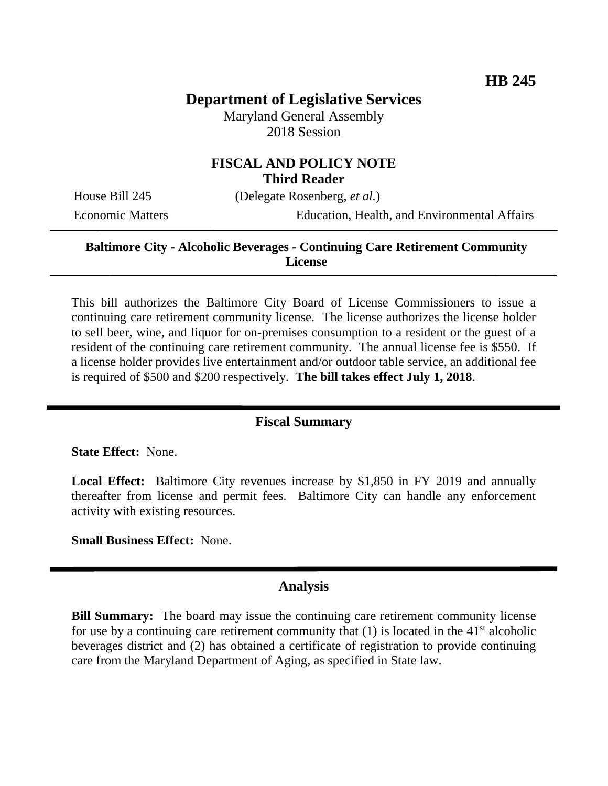# **Department of Legislative Services**

Maryland General Assembly 2018 Session

## **FISCAL AND POLICY NOTE Third Reader**

House Bill 245 (Delegate Rosenberg, *et al.*)

Economic Matters Education, Health, and Environmental Affairs

## **Baltimore City - Alcoholic Beverages - Continuing Care Retirement Community License**

This bill authorizes the Baltimore City Board of License Commissioners to issue a continuing care retirement community license. The license authorizes the license holder to sell beer, wine, and liquor for on-premises consumption to a resident or the guest of a resident of the continuing care retirement community. The annual license fee is \$550. If a license holder provides live entertainment and/or outdoor table service, an additional fee is required of \$500 and \$200 respectively. **The bill takes effect July 1, 2018**.

### **Fiscal Summary**

**State Effect:** None.

**Local Effect:** Baltimore City revenues increase by \$1,850 in FY 2019 and annually thereafter from license and permit fees. Baltimore City can handle any enforcement activity with existing resources.

**Small Business Effect:** None.

#### **Analysis**

**Bill Summary:** The board may issue the continuing care retirement community license for use by a continuing care retirement community that  $(1)$  is located in the 41<sup>st</sup> alcoholic beverages district and (2) has obtained a certificate of registration to provide continuing care from the Maryland Department of Aging, as specified in State law.